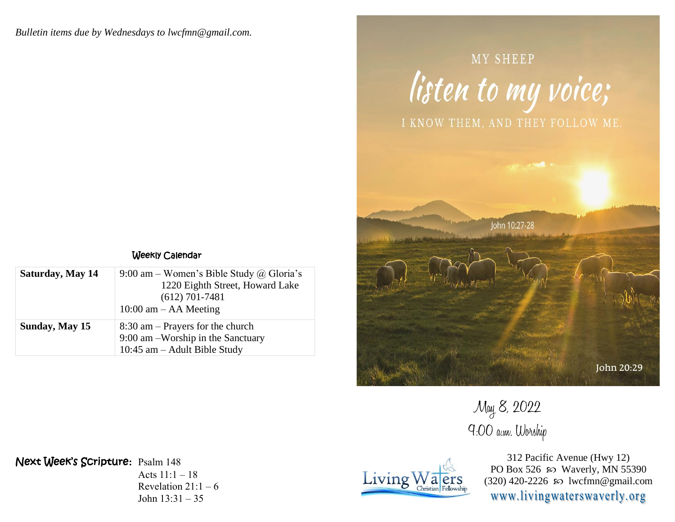*Bulletin items due by Wednesdays to lwcfmn@gmail.com.*



MY SHEEP

May 8, 2022 9:00 a.m. Worship

> 312 Pacific Avenue (Hwy 12) PO Box 526  $\wp$  Waverly, MN 55390 (320) 420-2226 so lwcfmn@gmail.com www.livingwaterswaverly.org

## Weekly Calendar

| Saturday, May 14 | 9:00 am – Women's Bible Study @ Gloria's<br>1220 Eighth Street, Howard Lake<br>$(612)$ 701-7481<br>$10:00$ am $-$ AA Meeting |
|------------------|------------------------------------------------------------------------------------------------------------------------------|
| Sunday, May 15   | $8:30$ am – Prayers for the church<br>9:00 am –Worship in the Sanctuary<br>$10:45$ am $-$ Adult Bible Study                  |

Next Week's Scripture**:** Psalm 148

Acts  $11:1 - 18$ Revelation  $21:1-6$ John 13:31 – 35